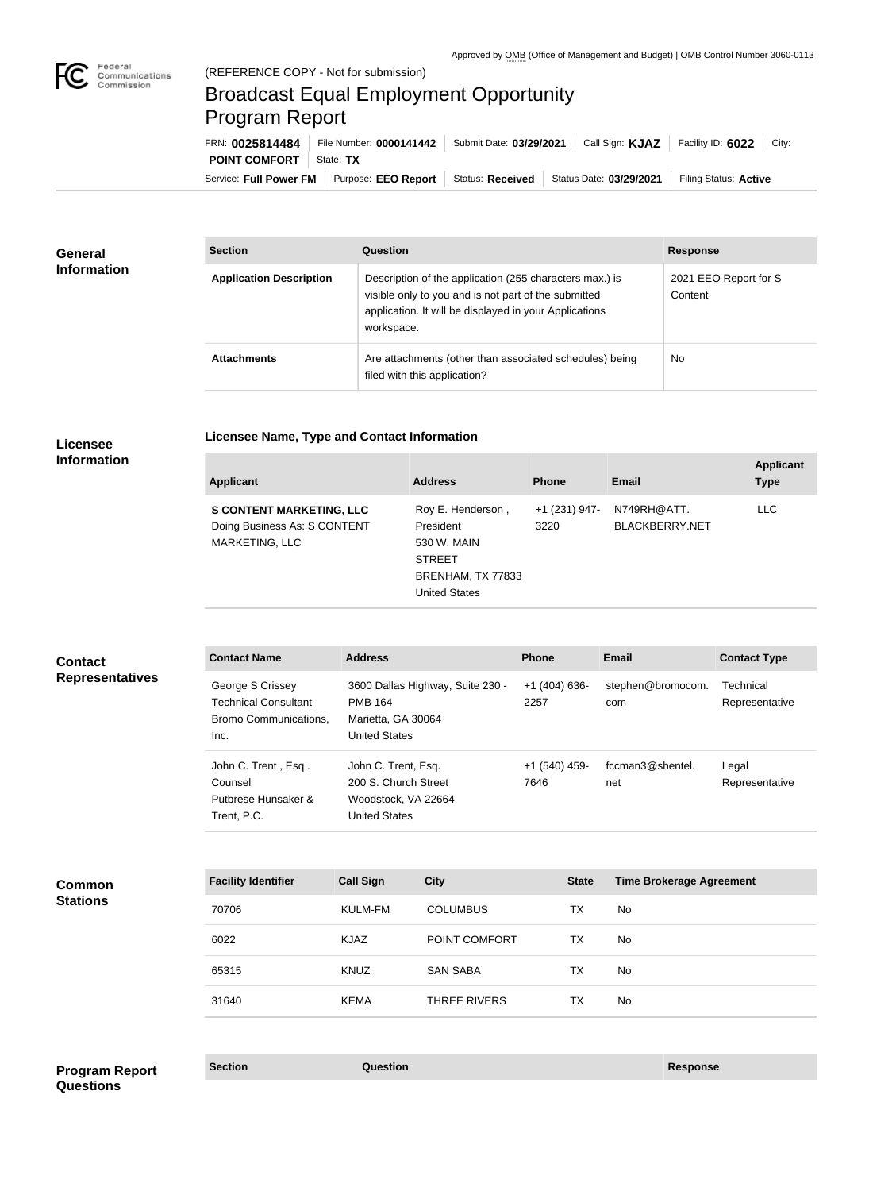

## Broadcast Equal Employment Opportunity Program Report

**Licensee Name, Type and Contact Information**

| FRN: 0025814484        | File Number: 0000141442 | Submit Date: 03/29/2021 | Call Sign: <b>KJAZ</b>  | Facility ID: 6022     | City: |
|------------------------|-------------------------|-------------------------|-------------------------|-----------------------|-------|
| <b>POINT COMFORT</b>   | State: TX               |                         |                         |                       |       |
| Service: Full Power FM | Purpose: EEO Report     | Status: Received        | Status Date: 03/29/2021 | Filing Status: Active |       |

| <b>General</b><br><b>Information</b> | <b>Section</b>                 | Question                                                                                                                                                                                | <b>Response</b>                  |
|--------------------------------------|--------------------------------|-----------------------------------------------------------------------------------------------------------------------------------------------------------------------------------------|----------------------------------|
|                                      | <b>Application Description</b> | Description of the application (255 characters max.) is<br>visible only to you and is not part of the submitted<br>application. It will be displayed in your Applications<br>workspace. | 2021 EEO Report for S<br>Content |
|                                      | <b>Attachments</b>             | Are attachments (other than associated schedules) being<br>filed with this application?                                                                                                 | <b>No</b>                        |

## **Licensee Information**

| <b>Applicant</b>                                                                         | <b>Address</b>                                                                                       | <b>Phone</b>          | <b>Email</b>                         | <b>Applicant</b><br><b>Type</b> |
|------------------------------------------------------------------------------------------|------------------------------------------------------------------------------------------------------|-----------------------|--------------------------------------|---------------------------------|
| <b>S CONTENT MARKETING, LLC</b><br>Doing Business As: S CONTENT<br><b>MARKETING, LLC</b> | Roy E. Henderson,<br>President<br>530 W. MAIN<br><b>STREET</b><br>BRENHAM, TX 77833<br>United States | +1 (231) 947-<br>3220 | N749RH@ATT.<br><b>BLACKBERRY.NET</b> | <b>LLC</b>                      |
|                                                                                          |                                                                                                      |                       |                                      |                                 |

| <b>Contact</b><br><b>Representatives</b> | <b>Contact Name</b>                                                              | <b>Address</b>                                                                             |                                  | <b>Phone</b>          | <b>Email</b>                    | <b>Contact Type</b>         |
|------------------------------------------|----------------------------------------------------------------------------------|--------------------------------------------------------------------------------------------|----------------------------------|-----------------------|---------------------------------|-----------------------------|
|                                          | George S Crissey<br><b>Technical Consultant</b><br>Bromo Communications,<br>Inc. | <b>PMB 164</b><br>Marietta, GA 30064<br><b>United States</b>                               | 3600 Dallas Highway, Suite 230 - | $+1(404)636-$<br>2257 | stephen@bromocom.<br>com        | Technical<br>Representative |
|                                          | John C. Trent, Esq.<br>Counsel<br>Putbrese Hunsaker &<br>Trent, P.C.             | John C. Trent, Esq.<br>200 S. Church Street<br>Woodstock, VA 22664<br><b>United States</b> |                                  | +1 (540) 459-<br>7646 | fccman3@shentel.<br>net         | Legal<br>Representative     |
|                                          |                                                                                  |                                                                                            |                                  |                       |                                 |                             |
| <b>Common</b>                            | <b>Facility Identifier</b>                                                       | <b>Call Sign</b>                                                                           | <b>City</b>                      | <b>State</b>          | <b>Time Brokerage Agreement</b> |                             |
| <b>Stations</b>                          | 70706                                                                            | <b>KULM-FM</b>                                                                             | <b>COLUMBUS</b>                  | <b>TX</b>             | <b>No</b>                       |                             |
|                                          | 6022                                                                             | <b>KJAZ</b>                                                                                | POINT COMFORT                    | <b>TX</b>             | <b>No</b>                       |                             |
|                                          | 65315                                                                            | <b>KNUZ</b>                                                                                | <b>SAN SABA</b>                  | <b>TX</b>             | No.                             |                             |
|                                          | 31640                                                                            | <b>KEMA</b>                                                                                | <b>THREE RIVERS</b>              | <b>TX</b>             | <b>No</b>                       |                             |
|                                          |                                                                                  |                                                                                            |                                  |                       |                                 |                             |